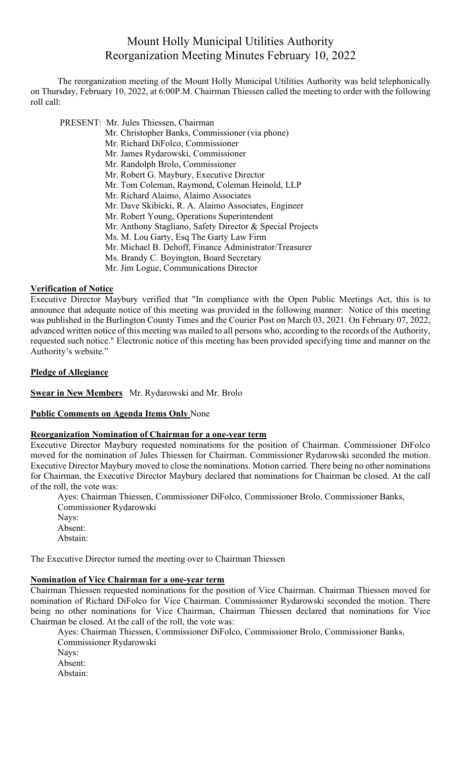# Mount Holly Municipal Utilities Authority Reorganization Meeting Minutes February 10, 2022

The reorganization meeting of the Mount Holly Municipal Utilities Authority was held telephonically on Thursday, February 10, 2022, at 6:00P.M. Chairman Thiessen called the meeting to order with the following roll call:

PRESENT: Mr. Jules Thiessen, Chairman

- Mr. Christopher Banks, Commissioner (via phone)
- Mr. Richard DiFolco, Commissioner
- Mr. James Rydarowski, Commissioner
- Mr. Randolph Brolo, Commissioner
- Mr. Robert G. Maybury, Executive Director
- Mr. Tom Coleman, Raymond, Coleman Heinold, LLP
- Mr. Richard Alaimo, Alaimo Associates
- Mr. Dave Skibicki, R. A. Alaimo Associates, Engineer
- Mr. Robert Young, Operations Superintendent
- Mr. Anthony Stagliano, Safety Director & Special Projects
- Ms. M. Lou Garty, Esq The Garty Law Firm
- Mr. Michael B. Dehoff, Finance Administrator/Treasurer
- Ms. Brandy C. Boyington, Board Secretary
- Mr. Jim Logue, Communications Director

#### **Verification of Notice**

Executive Director Maybury verified that "In compliance with the Open Public Meetings Act, this is to announce that adequate notice of this meeting was provided in the following manner: Notice of this meeting was published in the Burlington County Times and the Courier Post on March 03, 2021. On February 07, 2022, advanced written notice of this meeting was mailed to all persons who, according to the records of the Authority, requested such notice." Electronic notice of this meeting has been provided specifying time and manner on the Authority's website."

#### **Pledge of Allegiance**

**Swear in New Members** Mr. Rydarowski and Mr. Brolo

#### **Public Comments on Agenda Items Only** None

## **Reorganization Nomination of Chairman for a one-year term**

Executive Director Maybury requested nominations for the position of Chairman. Commissioner DiFolco moved for the nomination of Jules Thiessen for Chairman. Commissioner Rydarowski seconded the motion. Executive Director Maybury moved to close the nominations. Motion carried. There being no other nominations for Chairman, the Executive Director Maybury declared that nominations for Chairman be closed. At the call of the roll, the vote was:

Ayes: Chairman Thiessen, Commissioner DiFolco, Commissioner Brolo, Commissioner Banks, Commissioner Rydarowski

- Nays: Absent:
- Abstain:

The Executive Director turned the meeting over to Chairman Thiessen

## **Nomination of Vice Chairman for a one-year term**

Chairman Thiessen requested nominations for the position of Vice Chairman. Chairman Thiessen moved for nomination of Richard DiFolco for Vice Chairman. Commissioner Rydarowski seconded the motion. There being no other nominations for Vice Chairman, Chairman Thiessen declared that nominations for Vice Chairman be closed. At the call of the roll, the vote was:

Ayes: Chairman Thiessen, Commissioner DiFolco, Commissioner Brolo, Commissioner Banks, Commissioner Rydarowski

- Nays:
- Absent:
- Abstain: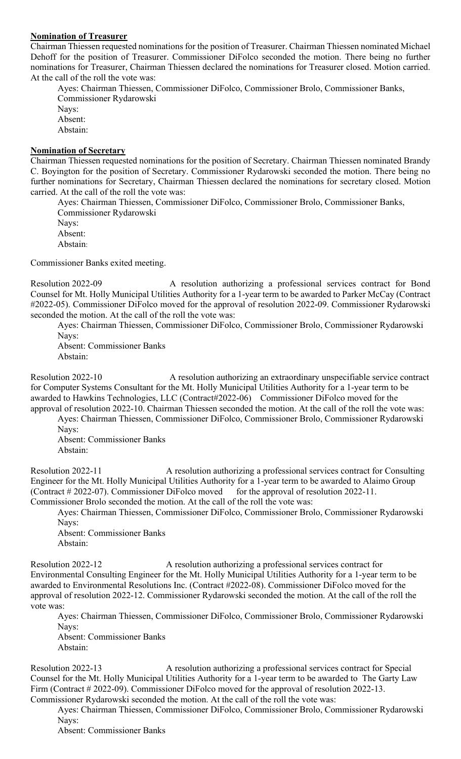#### **Nomination of Treasurer**

Chairman Thiessen requested nominations for the position of Treasurer. Chairman Thiessen nominated Michael Dehoff for the position of Treasurer. Commissioner DiFolco seconded the motion. There being no further nominations for Treasurer, Chairman Thiessen declared the nominations for Treasurer closed. Motion carried. At the call of the roll the vote was:

Ayes: Chairman Thiessen, Commissioner DiFolco, Commissioner Brolo, Commissioner Banks, Commissioner Rydarowski Nays: Absent: Abstain:

#### **Nomination of Secretary**

Chairman Thiessen requested nominations for the position of Secretary. Chairman Thiessen nominated Brandy C. Boyington for the position of Secretary. Commissioner Rydarowski seconded the motion. There being no further nominations for Secretary, Chairman Thiessen declared the nominations for secretary closed. Motion carried. At the call of the roll the vote was:

Ayes: Chairman Thiessen, Commissioner DiFolco, Commissioner Brolo, Commissioner Banks, Commissioner Rydarowski Nays:

Absent:

Abstain:

Commissioner Banks exited meeting.

Resolution 2022-09 A resolution authorizing a professional services contract for Bond Counsel for Mt. Holly Municipal Utilities Authority for a 1-year term to be awarded to Parker McCay (Contract #2022-05). Commissioner DiFolco moved for the approval of resolution 2022-09. Commissioner Rydarowski seconded the motion. At the call of the roll the vote was:

Ayes: Chairman Thiessen, Commissioner DiFolco, Commissioner Brolo, Commissioner Rydarowski Nays:

Absent: Commissioner Banks Abstain:

Resolution 2022-10 A resolution authorizing an extraordinary unspecifiable service contract for Computer Systems Consultant for the Mt. Holly Municipal Utilities Authority for a 1-year term to be awarded to Hawkins Technologies, LLC (Contract#2022-06) Commissioner DiFolco moved for the approval of resolution 2022-10. Chairman Thiessen seconded the motion. At the call of the roll the vote was:

Ayes: Chairman Thiessen, Commissioner DiFolco, Commissioner Brolo, Commissioner Rydarowski Nays:

Absent: Commissioner Banks Abstain:

Resolution 2022-11 A resolution authorizing a professional services contract for Consulting Engineer for the Mt. Holly Municipal Utilities Authority for a 1-year term to be awarded to Alaimo Group (Contract  $#2022-07$ ). Commissioner DiFolco moved for the approval of resolution 2022-11. Commissioner Brolo seconded the motion. At the call of the roll the vote was:

Ayes: Chairman Thiessen, Commissioner DiFolco, Commissioner Brolo, Commissioner Rydarowski Navs:

Absent: Commissioner Banks Abstain:

Resolution 2022-12 A resolution authorizing a professional services contract for Environmental Consulting Engineer for the Mt. Holly Municipal Utilities Authority for a 1-year term to be awarded to Environmental Resolutions Inc. (Contract #2022-08). Commissioner DiFolco moved for the approval of resolution 2022-12. Commissioner Rydarowski seconded the motion. At the call of the roll the vote was:

Ayes: Chairman Thiessen, Commissioner DiFolco, Commissioner Brolo, Commissioner Rydarowski Nays:

Absent: Commissioner Banks Abstain:

Resolution 2022-13 A resolution authorizing a professional services contract for Special Counsel for the Mt. Holly Municipal Utilities Authority for a 1-year term to be awarded to The Garty Law Firm (Contract # 2022-09). Commissioner DiFolco moved for the approval of resolution 2022-13. Commissioner Rydarowski seconded the motion. At the call of the roll the vote was:

Ayes: Chairman Thiessen, Commissioner DiFolco, Commissioner Brolo, Commissioner Rydarowski Nays:

Absent: Commissioner Banks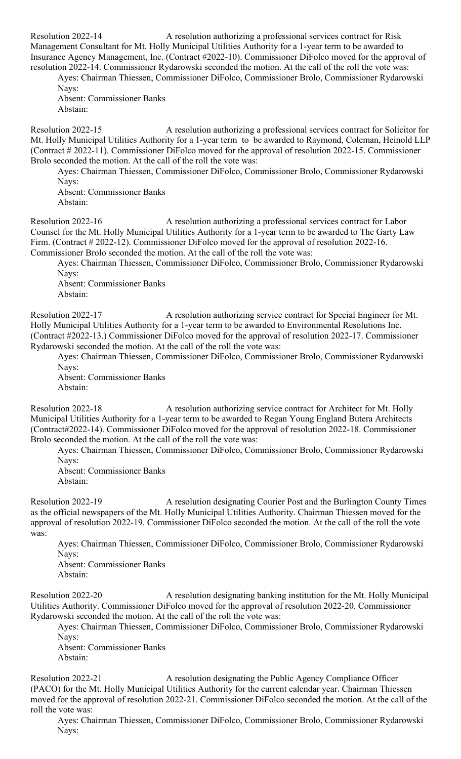Resolution 2022-14 A resolution authorizing a professional services contract for Risk Management Consultant for Mt. Holly Municipal Utilities Authority for a 1-year term to be awarded to Insurance Agency Management, Inc. (Contract #2022-10). Commissioner DiFolco moved for the approval of resolution 2022-14. Commissioner Rydarowski seconded the motion. At the call of the roll the vote was:

Ayes: Chairman Thiessen, Commissioner DiFolco, Commissioner Brolo, Commissioner Rydarowski Nays:

Absent: Commissioner Banks Abstain:

Resolution 2022-15 A resolution authorizing a professional services contract for Solicitor for Mt. Holly Municipal Utilities Authority for a 1-year term to be awarded to Raymond, Coleman, Heinold LLP (Contract # 2022-11). Commissioner DiFolco moved for the approval of resolution 2022-15. Commissioner Brolo seconded the motion. At the call of the roll the vote was:

Ayes: Chairman Thiessen, Commissioner DiFolco, Commissioner Brolo, Commissioner Rydarowski Nays:

Absent: Commissioner Banks Abstain:

Resolution 2022-16 A resolution authorizing a professional services contract for Labor Counsel for the Mt. Holly Municipal Utilities Authority for a 1-year term to be awarded to The Garty Law Firm. (Contract # 2022-12). Commissioner DiFolco moved for the approval of resolution 2022-16. Commissioner Brolo seconded the motion. At the call of the roll the vote was:

Ayes: Chairman Thiessen, Commissioner DiFolco, Commissioner Brolo, Commissioner Rydarowski Nays:

Absent: Commissioner Banks Abstain:

Resolution 2022-17 A resolution authorizing service contract for Special Engineer for Mt. Holly Municipal Utilities Authority for a 1-year term to be awarded to Environmental Resolutions Inc. (Contract #2022-13.) Commissioner DiFolco moved for the approval of resolution 2022-17. Commissioner Rydarowski seconded the motion. At the call of the roll the vote was:

Ayes: Chairman Thiessen, Commissioner DiFolco, Commissioner Brolo, Commissioner Rydarowski Nays:

Absent: Commissioner Banks Abstain:

Resolution 2022-18 A resolution authorizing service contract for Architect for Mt. Holly Municipal Utilities Authority for a 1-year term to be awarded to Regan Young England Butera Architects (Contract#2022-14). Commissioner DiFolco moved for the approval of resolution 2022-18. Commissioner Brolo seconded the motion. At the call of the roll the vote was:

Ayes: Chairman Thiessen, Commissioner DiFolco, Commissioner Brolo, Commissioner Rydarowski Nays:

Absent: Commissioner Banks Abstain:

Resolution 2022-19 A resolution designating Courier Post and the Burlington County Times as the official newspapers of the Mt. Holly Municipal Utilities Authority. Chairman Thiessen moved for the approval of resolution 2022-19. Commissioner DiFolco seconded the motion. At the call of the roll the vote was:

Ayes: Chairman Thiessen, Commissioner DiFolco, Commissioner Brolo, Commissioner Rydarowski Navs:

Absent: Commissioner Banks Abstain:

Resolution 2022-20 A resolution designating banking institution for the Mt. Holly Municipal Utilities Authority. Commissioner DiFolco moved for the approval of resolution 2022-20. Commissioner Rydarowski seconded the motion. At the call of the roll the vote was:

Ayes: Chairman Thiessen, Commissioner DiFolco, Commissioner Brolo, Commissioner Rydarowski Nays:

Absent: Commissioner Banks Abstain:

Resolution 2022-21 A resolution designating the Public Agency Compliance Officer (PACO) for the Mt. Holly Municipal Utilities Authority for the current calendar year. Chairman Thiessen moved for the approval of resolution 2022-21. Commissioner DiFolco seconded the motion. At the call of the roll the vote was:

Ayes: Chairman Thiessen, Commissioner DiFolco, Commissioner Brolo, Commissioner Rydarowski Nays: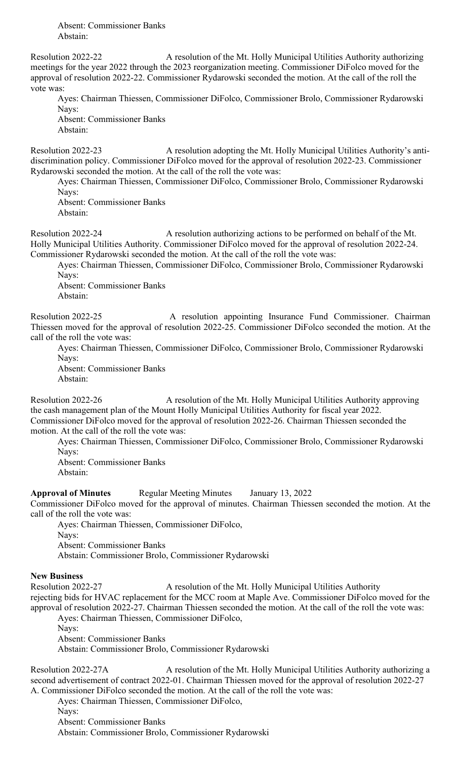Absent: Commissioner Banks Abstain:

Resolution 2022-22 A resolution of the Mt. Holly Municipal Utilities Authority authorizing meetings for the year 2022 through the 2023 reorganization meeting. Commissioner DiFolco moved for the approval of resolution 2022-22. Commissioner Rydarowski seconded the motion. At the call of the roll the vote was:

Ayes: Chairman Thiessen, Commissioner DiFolco, Commissioner Brolo, Commissioner Rydarowski Nays: Absent: Commissioner Banks

Abstain:

Resolution 2022-23 A resolution adopting the Mt. Holly Municipal Utilities Authority's antidiscrimination policy. Commissioner DiFolco moved for the approval of resolution 2022-23. Commissioner Rydarowski seconded the motion. At the call of the roll the vote was:

Ayes: Chairman Thiessen, Commissioner DiFolco, Commissioner Brolo, Commissioner Rydarowski Nays:

Absent: Commissioner Banks Abstain:

Resolution 2022-24 A resolution authorizing actions to be performed on behalf of the Mt. Holly Municipal Utilities Authority. Commissioner DiFolco moved for the approval of resolution 2022-24. Commissioner Rydarowski seconded the motion. At the call of the roll the vote was:

Ayes: Chairman Thiessen, Commissioner DiFolco, Commissioner Brolo, Commissioner Rydarowski Navs:

Absent: Commissioner Banks Abstain:

Resolution 2022-25 A resolution appointing Insurance Fund Commissioner. Chairman Thiessen moved for the approval of resolution 2022-25. Commissioner DiFolco seconded the motion. At the call of the roll the vote was:

Ayes: Chairman Thiessen, Commissioner DiFolco, Commissioner Brolo, Commissioner Rydarowski Nays:

Absent: Commissioner Banks Abstain:

Resolution 2022-26 A resolution of the Mt. Holly Municipal Utilities Authority approving the cash management plan of the Mount Holly Municipal Utilities Authority for fiscal year 2022. Commissioner DiFolco moved for the approval of resolution 2022-26. Chairman Thiessen seconded the motion. At the call of the roll the vote was:

Ayes: Chairman Thiessen, Commissioner DiFolco, Commissioner Brolo, Commissioner Rydarowski Nays:

Absent: Commissioner Banks Abstain:

**Approval of Minutes** Regular Meeting Minutes January 13, 2022

Commissioner DiFolco moved for the approval of minutes. Chairman Thiessen seconded the motion. At the call of the roll the vote was:

Ayes: Chairman Thiessen, Commissioner DiFolco,

Nays:

Absent: Commissioner Banks

Abstain: Commissioner Brolo, Commissioner Rydarowski

# **New Business**

Resolution 2022-27 A resolution of the Mt. Holly Municipal Utilities Authority

rejecting bids for HVAC replacement for the MCC room at Maple Ave. Commissioner DiFolco moved for the approval of resolution 2022-27. Chairman Thiessen seconded the motion. At the call of the roll the vote was:

Ayes: Chairman Thiessen, Commissioner DiFolco,

Nays:

Absent: Commissioner Banks

Abstain: Commissioner Brolo, Commissioner Rydarowski

Resolution 2022-27A A resolution of the Mt. Holly Municipal Utilities Authority authorizing a second advertisement of contract 2022-01. Chairman Thiessen moved for the approval of resolution 2022-27 A. Commissioner DiFolco seconded the motion. At the call of the roll the vote was:

Ayes: Chairman Thiessen, Commissioner DiFolco,

Nays:

Absent: Commissioner Banks

Abstain: Commissioner Brolo, Commissioner Rydarowski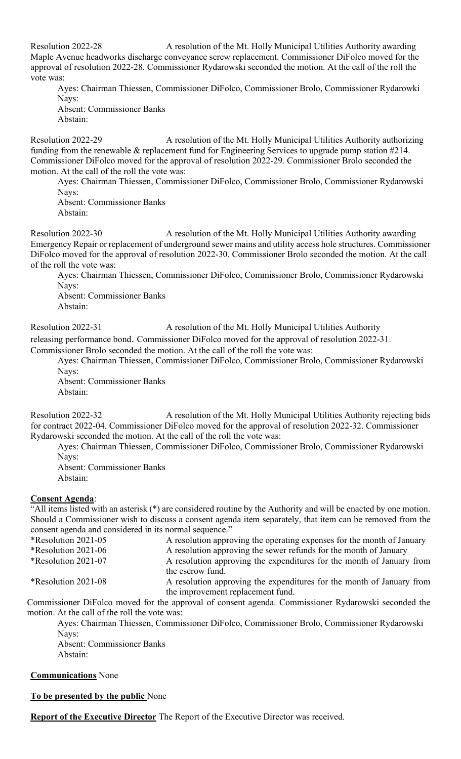Resolution 2022-28 A resolution of the Mt. Holly Municipal Utilities Authority awarding Maple Avenue headworks discharge conveyance screw replacement. Commissioner DiFolco moved for the approval of resolution 2022-28. Commissioner Rydarowski seconded the motion. At the call of the roll the vote was:

Ayes: Chairman Thiessen, Commissioner DiFolco, Commissioner Brolo, Commissioner Rydarowki Nays:

Absent: Commissioner Banks Abstain:

Resolution 2022-29 A resolution of the Mt. Holly Municipal Utilities Authority authorizing funding from the renewable & replacement fund for Engineering Services to upgrade pump station #214. Commissioner DiFolco moved for the approval of resolution 2022-29. Commissioner Brolo seconded the motion. At the call of the roll the vote was:

Ayes: Chairman Thiessen, Commissioner DiFolco, Commissioner Brolo, Commissioner Rydarowski Nays:

Absent: Commissioner Banks Abstain:

Resolution 2022-30 A resolution of the Mt. Holly Municipal Utilities Authority awarding Emergency Repair or replacement of underground sewer mains and utility access hole structures. Commissioner DiFolco moved for the approval of resolution 2022-30. Commissioner Brolo seconded the motion. At the call of the roll the vote was:

Ayes: Chairman Thiessen, Commissioner DiFolco, Commissioner Brolo, Commissioner Rydarowski Nays:

Absent: Commissioner Banks Abstain:

Resolution 2022-31 A resolution of the Mt. Holly Municipal Utilities Authority

releasing performance bond. Commissioner DiFolco moved for the approval of resolution 2022-31.

Commissioner Brolo seconded the motion. At the call of the roll the vote was:

Ayes: Chairman Thiessen, Commissioner DiFolco, Commissioner Brolo, Commissioner Rydarowski Nays:

Absent: Commissioner Banks Abstain:

Resolution 2022-32 A resolution of the Mt. Holly Municipal Utilities Authority rejecting bids for contract 2022-04. Commissioner DiFolco moved for the approval of resolution 2022-32. Commissioner Rydarowski seconded the motion. At the call of the roll the vote was:

Ayes: Chairman Thiessen, Commissioner DiFolco, Commissioner Brolo, Commissioner Rydarowski Nays:

Absent: Commissioner Banks Abstain:

# **Consent Agenda**:

"All items listed with an asterisk (\*) are considered routine by the Authority and will be enacted by one motion. Should a Commissioner wish to discuss a consent agenda item separately, that item can be removed from the consent agenda and considered in its normal sequence."

| *Resolution 2021-05 | A resolution approving the operating expenses for the month of January                                     |
|---------------------|------------------------------------------------------------------------------------------------------------|
| *Resolution 2021-06 | A resolution approving the sewer refunds for the month of January                                          |
| *Resolution 2021-07 | A resolution approving the expenditures for the month of January from<br>the escrow fund.                  |
| *Resolution 2021-08 | A resolution approving the expenditures for the month of January from<br>the improvement replacement fund. |

Commissioner DiFolco moved for the approval of consent agenda. Commissioner Rydarowski seconded the motion. At the call of the roll the vote was:

Ayes: Chairman Thiessen, Commissioner DiFolco, Commissioner Brolo, Commissioner Rydarowski Navs: Absent: Commissioner Banks Abstain:

**Communications** None

**To be presented by the public** None

**Report of the Executive Director** The Report of the Executive Director was received.